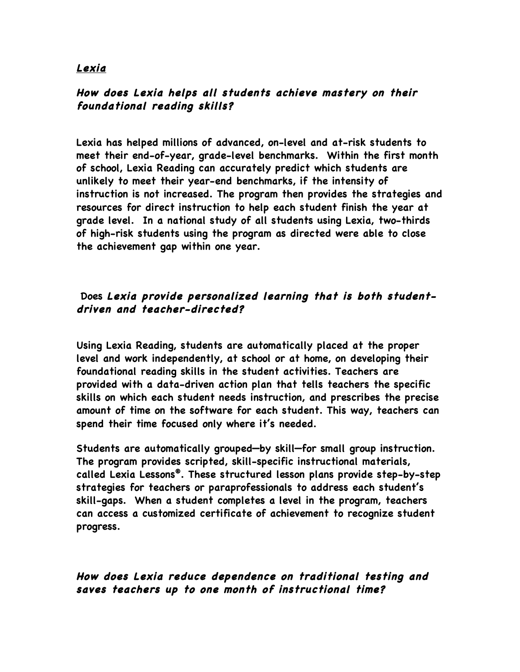### **Lexia**

# **How does Lexia helps all students achieve mastery on their foundational reading skills?**

**Lexia has helped millions of advanced, on-level and at-risk students to meet their end-of-year, grade-level benchmarks. Within the first month of school, Lexia Reading can accurately predict which students are unlikely to meet their year-end benchmarks, if the intensity of instruction is not increased. The program then provides the strategies and resources for direct instruction to help each student finish the year at grade level. In a national study of all students using Lexia, two-thirds of high-risk students using the program as directed were able to close the achievement gap within one year.**

# **Does Lexia provide personalized learning that is both studentdriven and teacher-directed?**

**Using Lexia Reading, students are automatically placed at the proper level and work independently, at school or at home, on developing their foundational reading skills in the student activities. Teachers are provided with a data-driven action plan that tells teachers the specific skills on which each student needs instruction, and prescribes the precise amount of time on the software for each student. This way, teachers can spend their time focused only where it's needed.**

**Students are automatically grouped—by skill—for small group instruction. The program provides scripted, skill-specific instructional materials, called Lexia Lessons®. These structured lesson plans provide step-by-step strategies for teachers or paraprofessionals to address each student's skill-gaps. When a student completes a level in the program, teachers can access a customized certificate of achievement to recognize student progress.**

### **How does Lexia reduce dependence on traditional testing and saves teachers up to one month of instructional time?**